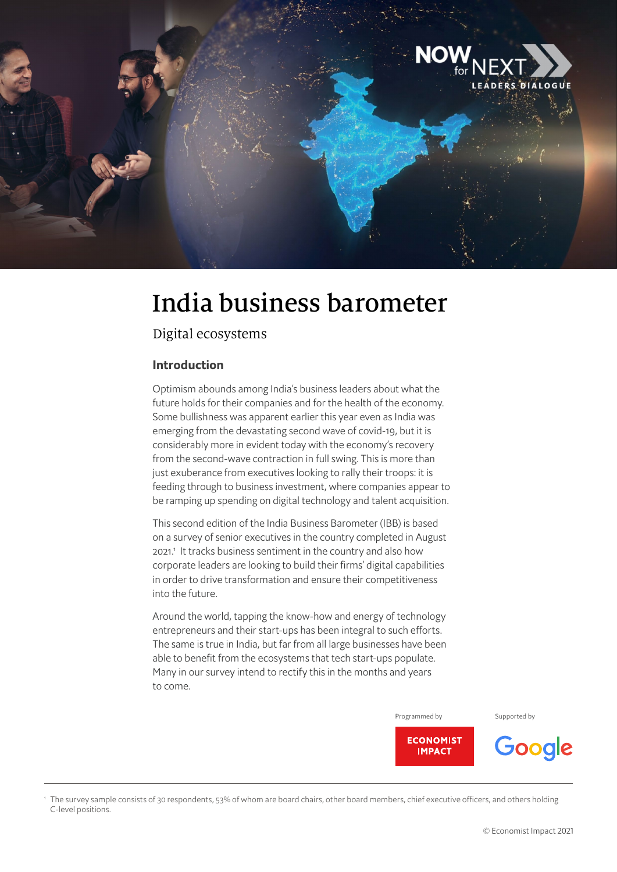

# India business barometer

Digital ecosystems

### **Introduction**

1

Optimism abounds among India's business leaders about what the future holds for their companies and for the health of the economy. Some bullishness was apparent earlier this year even as India was emerging from the devastating second wave of covid-19, but it is considerably more in evident today with the economy's recovery from the second-wave contraction in full swing. This is more than just exuberance from executives looking to rally their troops: it is feeding through to business investment, where companies appear to be ramping up spending on digital technology and talent acquisition.

This second edition of the India Business Barometer (IBB) is based on a survey of senior executives in the country completed in August 2021.<sup>1</sup> It tracks business sentiment in the country and also how corporate leaders are looking to build their firms' digital capabilities in order to drive transformation and ensure their competitiveness into the future.

Around the world, tapping the know-how and energy of technology entrepreneurs and their start-ups has been integral to such efforts. The same is true in India, but far from all large businesses have been able to benefit from the ecosystems that tech start-ups populate. Many in our survey intend to rectify this in the months and years to come.

Programmed by Supported by



 The survey sample consists of 30 respondents, 53% of whom are board chairs, other board members, chief executive officers, and others holding C-level positions.

Google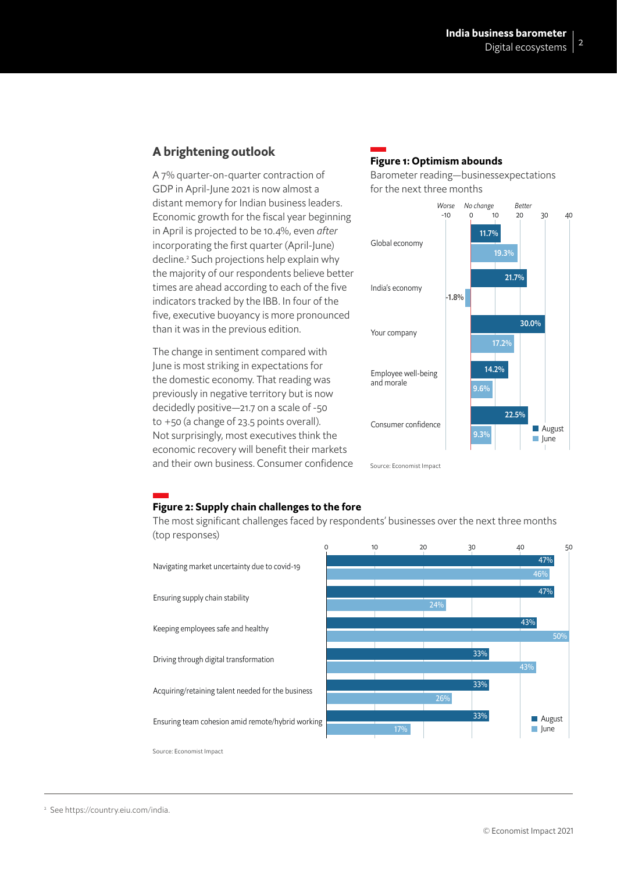## **A brightening outlook**

A 7% quarter-on-quarter contraction of GDP in April-June 2021 is now almost a distant memory for Indian business leaders. Economic growth for the fiscal year beginning in April is projected to be 10.4%, even *after* incorporating the first quarter (April-June) decline.2 Such projections help explain why the majority of our respondents believe better times are ahead according to each of the five indicators tracked by the IBB. In four of the five, executive buoyancy is more pronounced than it was in the previous edition.

The change in sentiment compared with June is most striking in expectations for the domestic economy. That reading was previously in negative territory but is now decidedly positive—21.7 on a scale of -50 to +50 (a change of 23.5 points overall). Not surprisingly, most executives think the economic recovery will benefit their markets and their own business. Consumer confidence

## **Figure 1: Optimism abounds**

Barometer reading—businessexpectations for the next three months



#### **Figure 2: Supply chain challenges to the fore**

The most significant challenges faced by respondents' businesses over the next three months (top responses)



<sup>2</sup> See https://country.eiu.com/india.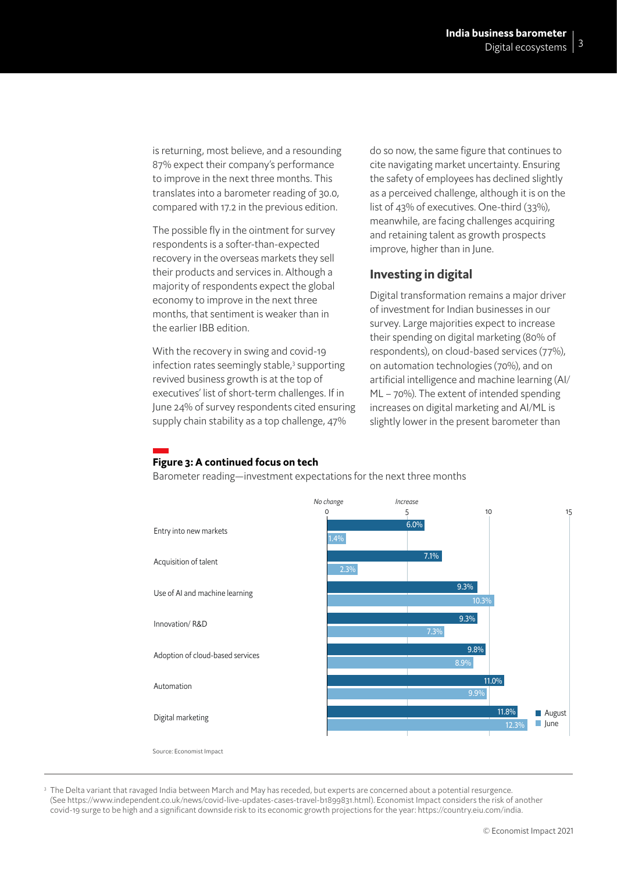is returning, most believe, and a resounding 87% expect their company's performance to improve in the next three months. This translates into a barometer reading of 30.0, compared with 17.2 in the previous edition.

The possible fly in the ointment for survey respondents is a softer-than-expected recovery in the overseas markets they sell their products and services in. Although a majority of respondents expect the global economy to improve in the next three months, that sentiment is weaker than in the earlier IBB edition.

With the recovery in swing and covid-19 infection rates seemingly stable,<sup>3</sup> supporting revived business growth is at the top of executives' list of short-term challenges. If in June 24% of survey respondents cited ensuring supply chain stability as a top challenge, 47%

do so now, the same figure that continues to cite navigating market uncertainty. Ensuring the safety of employees has declined slightly as a perceived challenge, although it is on the list of 43% of executives. One-third (33%), meanwhile, are facing challenges acquiring and retaining talent as growth prospects improve, higher than in June.

### **Investing in digital**

Digital transformation remains a major driver of investment for Indian businesses in our survey. Large majorities expect to increase their spending on digital marketing (80% of respondents), on cloud-based services (77%), on automation technologies (70%), and on artificial intelligence and machine learning (AI/ ML – 70%). The extent of intended spending increases on digital marketing and AI/ML is slightly lower in the present barometer than

## **Figure 3: A continued focus on tech**

Barometer reading—investment expectations for the next three months



<sup>3</sup> The Delta variant that ravaged India between March and May has receded, but experts are concerned about a potential resurgence. (See https://www.independent.co.uk/news/covid-live-updates-cases-travel-b1899831.html). Economist Impact considers the risk of another covid-19 surge to be high and a significant downside risk to its economic growth projections for the year: https://country.eiu.com/india.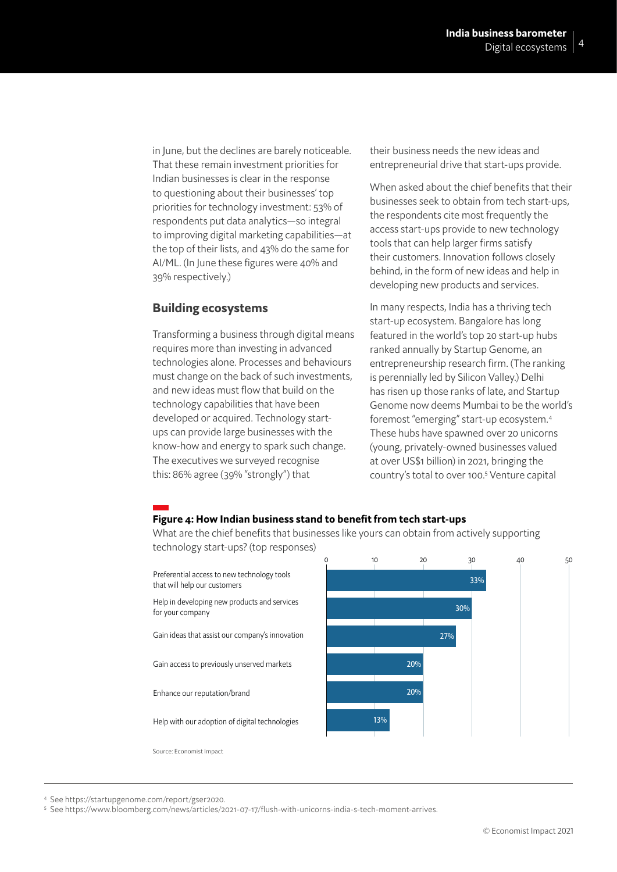in June, but the declines are barely noticeable. That these remain investment priorities for Indian businesses is clear in the response to questioning about their businesses' top priorities for technology investment: 53% of respondents put data analytics—so integral to improving digital marketing capabilities—at the top of their lists, and 43% do the same for AI/ML. (In June these figures were 40% and 39% respectively.)

#### **Building ecosystems**

Transforming a business through digital means requires more than investing in advanced technologies alone. Processes and behaviours must change on the back of such investments, and new ideas must flow that build on the technology capabilities that have been developed or acquired. Technology startups can provide large businesses with the know-how and energy to spark such change. The executives we surveyed recognise this: 86% agree (39% "strongly") that

their business needs the new ideas and entrepreneurial drive that start-ups provide.

When asked about the chief benefits that their businesses seek to obtain from tech start-ups, the respondents cite most frequently the access start-ups provide to new technology tools that can help larger firms satisfy their customers. Innovation follows closely behind, in the form of new ideas and help in developing new products and services.

In many respects, India has a thriving tech start-up ecosystem. Bangalore has long featured in the world's top 20 start-up hubs ranked annually by Startup Genome, an entrepreneurship research firm. (The ranking is perennially led by Silicon Valley.) Delhi has risen up those ranks of late, and Startup Genome now deems Mumbai to be the world's foremost "emerging" start-up ecosystem.4 These hubs have spawned over 20 unicorns (young, privately-owned businesses valued at over US\$1 billion) in 2021, bringing the country's total to over 100.<sup>5</sup> Venture capital

#### **Figure 4: How Indian business stand to benefit from tech start-ups**

What are the chief benefits that businesses like yours can obtain from actively supporting technology start-ups? (top responses)





<sup>4</sup> See https://startupgenome.com/report/gser2020.

5 See https://www.bloomberg.com/news/articles/2021-07-17/flush-with-unicorns-india-s-tech-moment-arrives.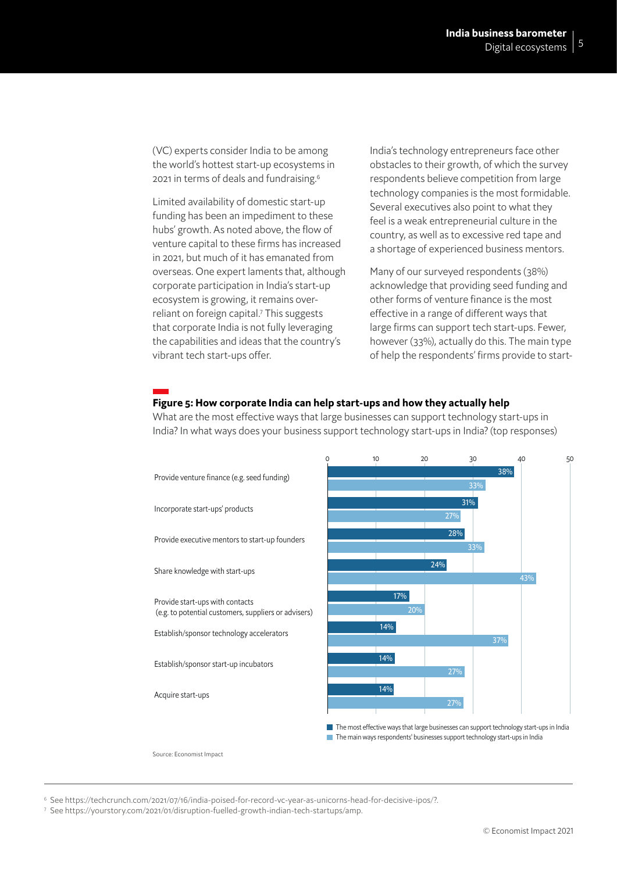(VC) experts consider India to be among the world's hottest start-up ecosystems in 2021 in terms of deals and fundraising.6

Limited availability of domestic start-up funding has been an impediment to these hubs' growth. As noted above, the flow of venture capital to these firms has increased in 2021, but much of it has emanated from overseas. One expert laments that, although corporate participation in India's start-up ecosystem is growing, it remains overreliant on foreign capital.7 This suggests that corporate India is not fully leveraging the capabilities and ideas that the country's vibrant tech start-ups offer.

India's technology entrepreneurs face other obstacles to their growth, of which the survey respondents believe competition from large technology companies is the most formidable. Several executives also point to what they feel is a weak entrepreneurial culture in the country, as well as to excessive red tape and a shortage of experienced business mentors.

Many of our surveyed respondents (38%) acknowledge that providing seed funding and other forms of venture finance is the most effective in a range of different ways that large firms can support tech start-ups. Fewer, however (33%), actually do this. The main type of help the respondents' firms provide to start-

#### **Figure 5: How corporate India can help start-ups and how they actually help**

What are the most effective ways that large businesses can support technology start-ups in India? In what ways does your business support technology start-ups in India? (top responses)



6 See https://techcrunch.com/2021/07/16/india-poised-for-record-vc-year-as-unicorns-head-for-decisive-ipos/?.

<sup>7</sup> See https://yourstory.com/2021/01/disruption-fuelled-growth-indian-tech-startups/amp.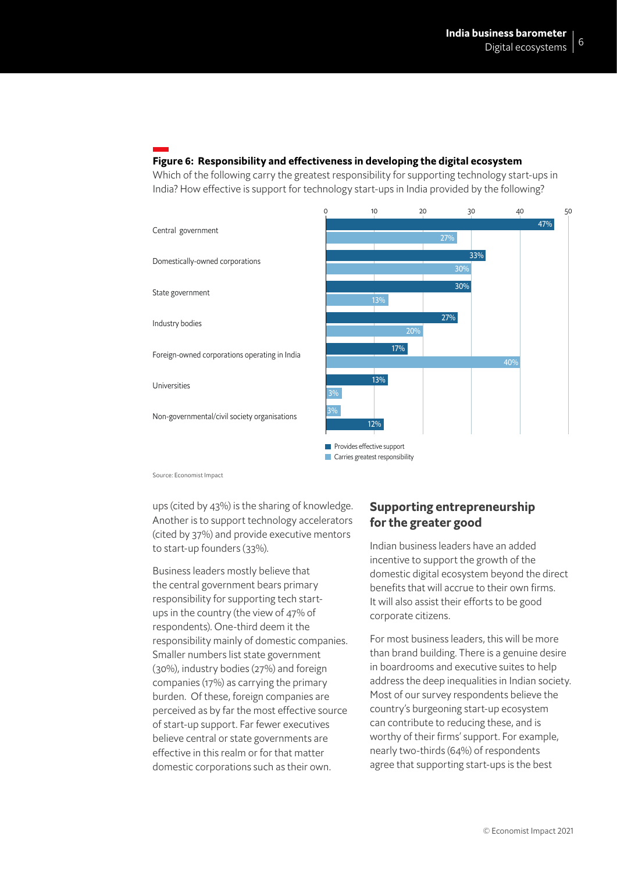#### **Figure 6: Responsibility and effectiveness in developing the digital ecosystem**

Which of the following carry the greatest responsibility for supporting technology start-ups in India? How effective is support for technology start-ups in India provided by the following?



Source: Economist Impact

ups (cited by 43%) is the sharing of knowledge. Another is to support technology accelerators (cited by 37%) and provide executive mentors to start-up founders (33%).

Business leaders mostly believe that the central government bears primary responsibility for supporting tech startups in the country (the view of 47% of respondents). One-third deem it the responsibility mainly of domestic companies. Smaller numbers list state government (30%), industry bodies (27%) and foreign companies (17%) as carrying the primary burden. Of these, foreign companies are perceived as by far the most effective source of start-up support. Far fewer executives believe central or state governments are effective in this realm or for that matter domestic corporations such as their own.

## **Supporting entrepreneurship for the greater good**

Indian business leaders have an added incentive to support the growth of the domestic digital ecosystem beyond the direct benefits that will accrue to their own firms. It will also assist their efforts to be good corporate citizens.

For most business leaders, this will be more than brand building. There is a genuine desire in boardrooms and executive suites to help address the deep inequalities in Indian society. Most of our survey respondents believe the country's burgeoning start-up ecosystem can contribute to reducing these, and is worthy of their firms' support. For example, nearly two-thirds (64%) of respondents agree that supporting start-ups is the best